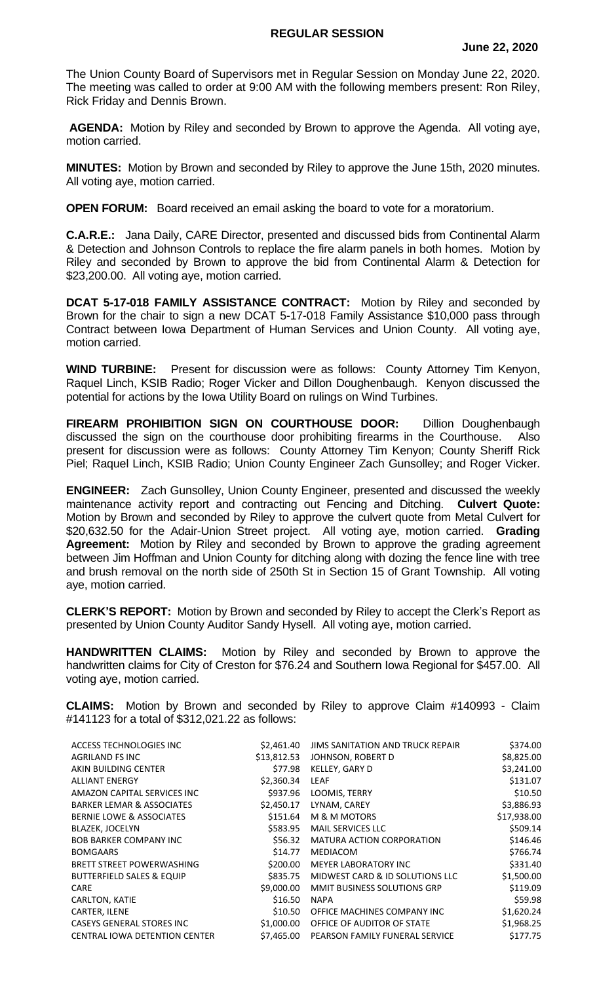## **REGULAR SESSION**

The Union County Board of Supervisors met in Regular Session on Monday June 22, 2020. The meeting was called to order at 9:00 AM with the following members present: Ron Riley, Rick Friday and Dennis Brown.

**AGENDA:** Motion by Riley and seconded by Brown to approve the Agenda. All voting aye, motion carried.

**MINUTES:** Motion by Brown and seconded by Riley to approve the June 15th, 2020 minutes. All voting aye, motion carried.

**OPEN FORUM:** Board received an email asking the board to vote for a moratorium.

**C.A.R.E.:** Jana Daily, CARE Director, presented and discussed bids from Continental Alarm & Detection and Johnson Controls to replace the fire alarm panels in both homes. Motion by Riley and seconded by Brown to approve the bid from Continental Alarm & Detection for \$23,200.00. All voting aye, motion carried.

**DCAT 5-17-018 FAMILY ASSISTANCE CONTRACT:** Motion by Riley and seconded by Brown for the chair to sign a new DCAT 5-17-018 Family Assistance \$10,000 pass through Contract between Iowa Department of Human Services and Union County. All voting aye, motion carried.

**WIND TURBINE:** Present for discussion were as follows: County Attorney Tim Kenyon, Raquel Linch, KSIB Radio; Roger Vicker and Dillon Doughenbaugh. Kenyon discussed the potential for actions by the Iowa Utility Board on rulings on Wind Turbines.

**FIREARM PROHIBITION SIGN ON COURTHOUSE DOOR:** Dillion Doughenbaugh discussed the sign on the courthouse door prohibiting firearms in the Courthouse. Also present for discussion were as follows: County Attorney Tim Kenyon; County Sheriff Rick Piel; Raquel Linch, KSIB Radio; Union County Engineer Zach Gunsolley; and Roger Vicker.

**ENGINEER:** Zach Gunsolley, Union County Engineer, presented and discussed the weekly maintenance activity report and contracting out Fencing and Ditching. **Culvert Quote:**  Motion by Brown and seconded by Riley to approve the culvert quote from Metal Culvert for \$20,632.50 for the Adair-Union Street project. All voting aye, motion carried. **Grading Agreement:** Motion by Riley and seconded by Brown to approve the grading agreement between Jim Hoffman and Union County for ditching along with dozing the fence line with tree and brush removal on the north side of 250th St in Section 15 of Grant Township. All voting aye, motion carried.

**CLERK'S REPORT:** Motion by Brown and seconded by Riley to accept the Clerk's Report as presented by Union County Auditor Sandy Hysell. All voting aye, motion carried.

**HANDWRITTEN CLAIMS:** Motion by Riley and seconded by Brown to approve the handwritten claims for City of Creston for \$76.24 and Southern Iowa Regional for \$457.00. All voting aye, motion carried.

**CLAIMS:** Motion by Brown and seconded by Riley to approve Claim #140993 - Claim #141123 for a total of \$312,021.22 as follows:

| ACCESS TECHNOLOGIES INC              | \$2,461.40  | JIMS SANITATION AND TRUCK REPAIR   | \$374.00    |
|--------------------------------------|-------------|------------------------------------|-------------|
| AGRILAND FS INC                      | \$13,812.53 | JOHNSON, ROBERT D                  | \$8,825.00  |
| AKIN BUILDING CENTER                 | \$77.98     | KELLEY, GARY D                     | \$3,241.00  |
| <b>ALLIANT ENERGY</b>                | \$2,360.34  | LEAF                               | \$131.07    |
| AMAZON CAPITAL SERVICES INC          | \$937.96    | LOOMIS, TERRY                      | \$10.50     |
| <b>BARKER LEMAR &amp; ASSOCIATES</b> | \$2,450.17  | LYNAM, CAREY                       | \$3,886.93  |
| <b>BERNIE LOWE &amp; ASSOCIATES</b>  | \$151.64    | M & M MOTORS                       | \$17,938.00 |
| <b>BLAZEK, JOCELYN</b>               | \$583.95    | <b>MAIL SERVICES LLC</b>           | \$509.14    |
| <b>BOB BARKER COMPANY INC.</b>       | \$56.32     | MATURA ACTION CORPORATION          | \$146.46    |
| <b>BOMGAARS</b>                      | \$14.77     | MEDIACOM                           | \$766.74    |
| <b>BRETT STREET POWERWASHING</b>     | \$200.00    | <b>MEYER LABORATORY INC</b>        | \$331.40    |
| <b>BUTTERFIELD SALES &amp; EQUIP</b> | \$835.75    | MIDWEST CARD & ID SOLUTIONS LLC    | \$1,500.00  |
| <b>CARE</b>                          | \$9,000.00  | <b>MMIT BUSINESS SOLUTIONS GRP</b> | \$119.09    |
| CARLTON, KATIE                       | \$16.50     | <b>NAPA</b>                        | \$59.98     |
| CARTER, ILENE                        | \$10.50     | OFFICE MACHINES COMPANY INC        | \$1,620.24  |
| <b>CASEYS GENERAL STORES INC</b>     | \$1,000.00  | OFFICE OF AUDITOR OF STATE         | \$1,968.25  |
| <b>CENTRAL IOWA DETENTION CENTER</b> | \$7,465.00  | PEARSON FAMILY FUNERAL SERVICE     | \$177.75    |